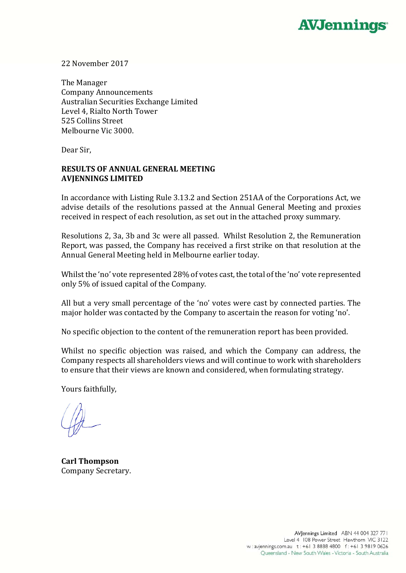

22 November 2017

The Manager Company Announcements Australian Securities Exchange Limited Level 4, Rialto North Tower 525 Collins Street Melbourne Vic 3000.

Dear Sir.

## **RESULTS OF ANNUAL GENERAL MEETING AVJENNINGS LIMITED**

In accordance with Listing Rule 3.13.2 and Section 251AA of the Corporations Act, we advise details of the resolutions passed at the Annual General Meeting and proxies received in respect of each resolution, as set out in the attached proxy summary.

Resolutions 2, 3a, 3b and 3c were all passed. Whilst Resolution 2, the Remuneration Report, was passed, the Company has received a first strike on that resolution at the Annual General Meeting held in Melbourne earlier today.

Whilst the 'no' vote represented  $28\%$  of votes cast, the total of the 'no' vote represented only 5% of issued capital of the Company.

All but a very small percentage of the 'no' votes were cast by connected parties. The major holder was contacted by the Company to ascertain the reason for voting 'no'.

No specific objection to the content of the remuneration report has been provided.

Whilst no specific objection was raised, and which the Company can address, the Company respects all shareholders views and will continue to work with shareholders to ensure that their views are known and considered, when formulating strategy.

Yours faithfully.

**Carl Thompson** Company Secretary.